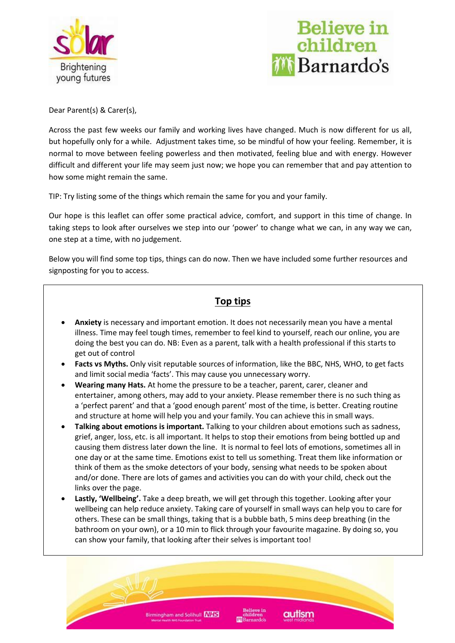



Dear Parent(s) & Carer(s),

Across the past few weeks our family and working lives have changed. Much is now different for us all, but hopefully only for a while. Adjustment takes time, so be mindful of how your feeling. Remember, it is normal to move between feeling powerless and then motivated, feeling blue and with energy. However difficult and different your life may seem just now; we hope you can remember that and pay attention to how some might remain the same.

TIP: Try listing some of the things which remain the same for you and your family.

Our hope is this leaflet can offer some practical advice, comfort, and support in this time of change. In taking steps to look after ourselves we step into our 'power' to change what we can, in any way we can, one step at a time, with no judgement.

Below you will find some top tips, things can do now. Then we have included some further resources and signposting for you to access.

## **Top tips**

- **Anxiety** is necessary and important emotion. It does not necessarily mean you have a mental illness. Time may feel tough times, remember to feel kind to yourself, reach our online, you are doing the best you can do. NB: Even as a parent, talk with a health professional if this starts to get out of control
- **Facts vs Myths.** Only visit reputable sources of information, like the BBC, NHS, WHO, to get facts and limit social media 'facts'. This may cause you unnecessary worry.
- **Wearing many Hats.** At home the pressure to be a teacher, parent, carer, cleaner and entertainer, among others, may add to your anxiety. Please remember there is no such thing as a 'perfect parent' and that a 'good enough parent' most of the time, is better. Creating routine and structure at home will help you and your family. You can achieve this in small ways.
- **Talking about emotions is important.** Talking to your children about emotions such as sadness, grief, anger, loss, etc. is all important. It helps to stop their emotions from being bottled up and causing them distress later down the line. It is normal to feel lots of emotions, sometimes all in one day or at the same time. Emotions exist to tell us something. Treat them like information or think of them as the smoke detectors of your body, sensing what needs to be spoken about and/or done. There are lots of games and activities you can do with your child, check out the links over the page.
- **Lastly, 'Wellbeing'.** Take a deep breath, we will get through this together. Looking after your wellbeing can help reduce anxiety. Taking care of yourself in small ways can help you to care for others. These can be small things, taking that is a bubble bath, 5 mins deep breathing (in the bathroom on your own), or a 10 min to flick through your favourite magazine. By doing so, you can show your family, that looking after their selves is important too!

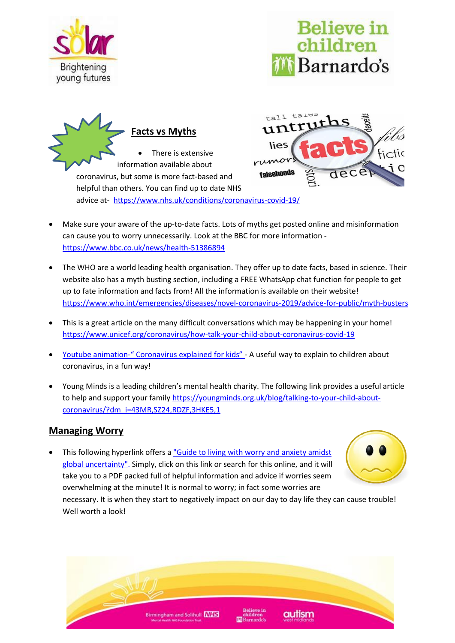







advice at- <https://www.nhs.uk/conditions/coronavirus-covid-19/>

- Make sure your aware of the up-to-date facts. Lots of myths get posted online and misinformation can cause you to worry unnecessarily. Look at the BBC for more information <https://www.bbc.co.uk/news/health-51386894>
- The WHO are a world leading health organisation. They offer up to date facts, based in science. Their website also has a myth busting section, including a FREE WhatsApp chat function for people to get up to fate information and facts from! All the information is available on their website! <https://www.who.int/emergencies/diseases/novel-coronavirus-2019/advice-for-public/myth-busters>
- This is a great article on the many difficult conversations which may be happening in your home! <https://www.unicef.org/coronavirus/how-talk-your-child-about-coronavirus-covid-19>
- Youtube animation-[" Coronavirus explained for kids"](https://www.youtube.com/watch?v=L-n8uNNnS38)  A useful way to explain to children about coronavirus, in a fun way!
- Young Minds is a leading children's mental health charity. The following link provides a useful article to help and support your family [https://youngminds.org.uk/blog/talking-to-your-child-about](https://youngminds.org.uk/blog/talking-to-your-child-about-coronavirus/?dm_i=43MR,SZ24,RDZF,3HKE5,1)[coronavirus/?dm\\_i=43MR,SZ24,RDZF,3HKE5,1](https://youngminds.org.uk/blog/talking-to-your-child-about-coronavirus/?dm_i=43MR,SZ24,RDZF,3HKE5,1)

## **Managing Worry**

This following hyperlink offers a "Guide to living with worry and anxiety amidst [global uncertainty".](https://4648dcw4pye15w61x1reklps-wpengine.netdna-ssl.com/assets/covid-19/guide_to_living_with_worry_and_anxiety_amidst_global_uncertainty_en-gb.pdf) Simply, click on this link or search for this online, and it will take you to a PDF packed full of helpful information and advice if worries seem overwhelming at the minute! It is normal to worry; in fact some worries are



necessary. It is when they start to negatively impact on our day to day life they can cause trouble! Well worth a look!

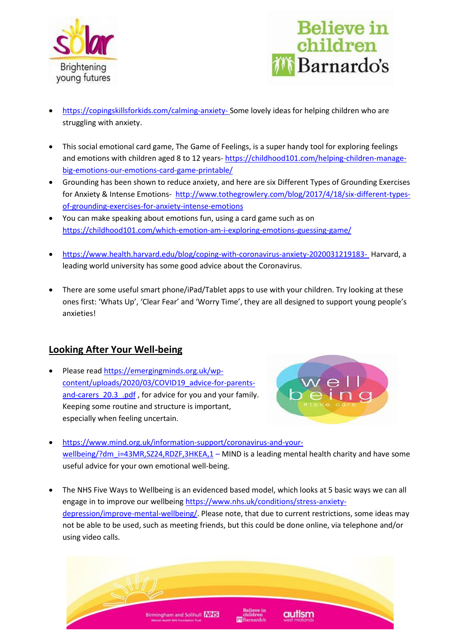



- <https://copingskillsforkids.com/calming-anxiety-> Some lovely ideas for helping children who are struggling with anxiety.
- This social emotional card game, The Game of Feelings, is a super handy tool for exploring feelings and emotions with children aged 8 to 12 years- [https://childhood101.com/helping-children-manage](https://childhood101.com/helping-children-manage-big-emotions-our-emotions-card-game-printable/)[big-emotions-our-emotions-card-game-printable/](https://childhood101.com/helping-children-manage-big-emotions-our-emotions-card-game-printable/)
- Grounding has been shown to reduce anxiety, and here are six Different Types of Grounding Exercises for Anxiety & Intense Emotions- [http://www.tothegrowlery.com/blog/2017/4/18/six-different-types](http://www.tothegrowlery.com/blog/2017/4/18/six-different-types-of-grounding-exercises-for-anxiety-intense-emotions)[of-grounding-exercises-for-anxiety-intense-emotions](http://www.tothegrowlery.com/blog/2017/4/18/six-different-types-of-grounding-exercises-for-anxiety-intense-emotions)
- You can make speaking about emotions fun, using a card game such as on <https://childhood101.com/which-emotion-am-i-exploring-emotions-guessing-game/>
- <https://www.health.harvard.edu/blog/coping-with-coronavirus-anxiety-2020031219183-> Harvard, a leading world university has some good advice about the Coronavirus.
- There are some useful smart phone/iPad/Tablet apps to use with your children. Try looking at these ones first: 'Whats Up', 'Clear Fear' and 'Worry Time', they are all designed to support young people's anxieties!

## **Looking After Your Well-being**

• Please read [https://emergingminds.org.uk/wp](https://emergingminds.org.uk/wp-content/uploads/2020/03/COVID19_advice-for-parents-and-carers_20.3_.pdf)[content/uploads/2020/03/COVID19\\_advice-for-parents](https://emergingminds.org.uk/wp-content/uploads/2020/03/COVID19_advice-for-parents-and-carers_20.3_.pdf)and-carers 20.3 .pdf, for advice for you and your family. Keeping some routine and structure is important, especially when feeling uncertain.



- [https://www.mind.org.uk/information-support/coronavirus-and-your](https://www.mind.org.uk/information-support/coronavirus-and-your-wellbeing/?dm_i=43MR,SZ24,RDZF,3HKEA,1)[wellbeing/?dm\\_i=43MR,SZ24,RDZF,3HKEA,1](https://www.mind.org.uk/information-support/coronavirus-and-your-wellbeing/?dm_i=43MR,SZ24,RDZF,3HKEA,1) – MIND is a leading mental health charity and have some useful advice for your own emotional well-being.
- The NHS Five Ways to Wellbeing is an evidenced based model, which looks at 5 basic ways we can all engage in to improve our wellbeing [https://www.nhs.uk/conditions/stress-anxiety](https://www.nhs.uk/conditions/stress-anxiety-depression/improve-mental-wellbeing/)[depression/improve-mental-wellbeing/.](https://www.nhs.uk/conditions/stress-anxiety-depression/improve-mental-wellbeing/) Please note, that due to current restrictions, some ideas may not be able to be used, such as meeting friends, but this could be done online, via telephone and/or using video calls.

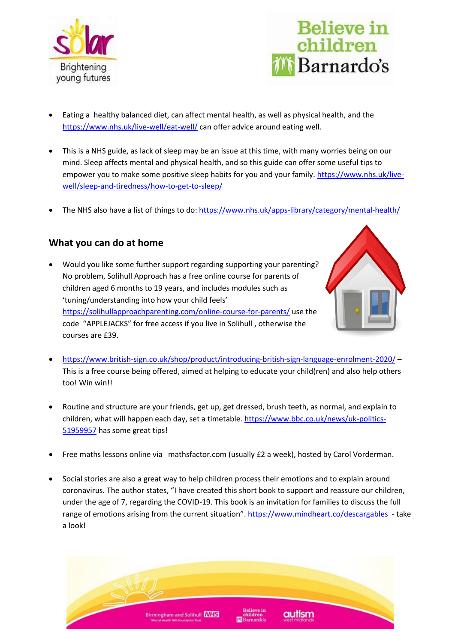



- Eating a healthy balanced diet, can affect mental health, as well as physical health, and the <https://www.nhs.uk/live-well/eat-well/> can offer advice around eating well.
- This is a NHS guide, as lack of sleep may be an issue at this time, with many worries being on our mind. Sleep affects mental and physical health, and so this guide can offer some useful tips to empower you to make some positive sleep habits for you and your family. [https://www.nhs.uk/live](https://www.nhs.uk/live-well/sleep-and-tiredness/how-to-get-to-sleep/)[well/sleep-and-tiredness/how-to-get-to-sleep/](https://www.nhs.uk/live-well/sleep-and-tiredness/how-to-get-to-sleep/)
- The NHS also have a list of things to do[: https://www.nhs.uk/apps-library/category/mental-health/](https://www.nhs.uk/apps-library/category/mental-health/)

## **What you can do at home**

• Would you like some further support regarding supporting your parenting? No problem, Solihull Approach has a free online course for parents of children aged 6 months to 19 years, and includes modules such as 'tuning/understanding into how your child feels' <https://solihullapproachparenting.com/online-course-for-parents/> use the code "APPLEJACKS" for free access if you live in Solihull , otherwise the courses are £39.



- <https://www.british-sign.co.uk/shop/product/introducing-british-sign-language-enrolment-2020/> This is a free course being offered, aimed at helping to educate your child(ren) and also help others too! Win win!!
- Routine and structure are your friends, get up, get dressed, brush teeth, as normal, and explain to children, what will happen each day, set a timetable. [https://www.bbc.co.uk/news/uk-politics-](https://www.bbc.co.uk/news/uk-politics-51959957)[51959957](https://www.bbc.co.uk/news/uk-politics-51959957) has some great tips!
- Free maths lessons online via mathsfactor.com (usually £2 a week), hosted by Carol Vorderman.
- Social stories are also a great way to help children process their emotions and to explain around coronavirus. The author states, "I have created this short book to support and reassure our children, under the age of 7, regarding the COVID-19. This book is an invitation for families to discuss the full range of emotions arising from the current situation". <https://www.mindheart.co/descargables>- take a look!